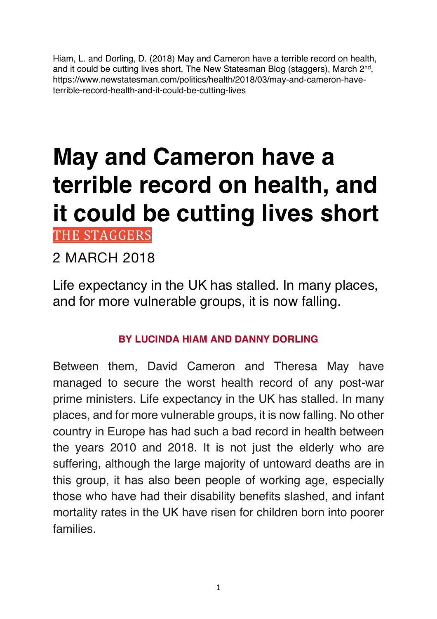Hiam, L. and Dorling, D. (2018) May and Cameron have a terrible record on health, and it could be cutting lives short, The New Statesman Blog (staggers), March 2<sup>nd</sup>, https://www.newstatesman.com/politics/health/2018/03/may-and-cameron-haveterrible-record-health-and-it-could-be-cutting-lives

# **May and Cameron have a terrible record on health, and it could be cutting lives short** THE STAGGERS

### 2 MARCH 2018

Life expectancy in the UK has stalled. In many places, and for more vulnerable groups, it is now falling.

#### **BY LUCINDA HIAM AND DANNY DORLING**

Between them, David Cameron and Theresa May have managed to secure the worst health record of any post-war prime ministers. Life expectancy in the UK has stalled. In many places, and for more vulnerable groups, it is now falling. No other country in Europe has had such a bad record in health between the years 2010 and 2018. It is not just the elderly who are suffering, although the large majority of untoward deaths are in this group, it has also been people of working age, especially those who have had their disability benefits slashed, and infant mortality rates in the UK have risen for children born into poorer families.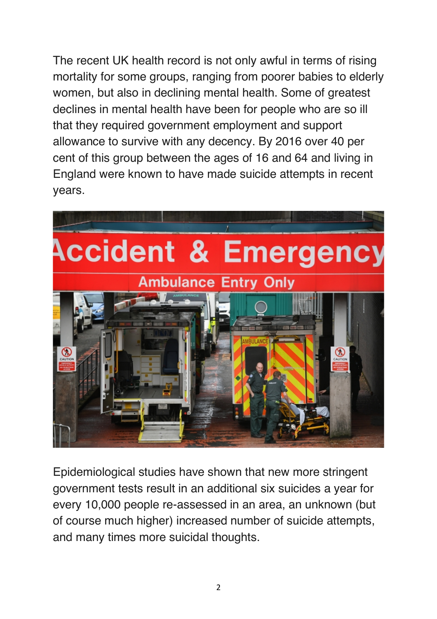The recent UK health record is not only awful in terms of rising mortality for some groups, ranging from poorer babies to elderly women, but also in declining mental health. Some of greatest declines in mental health have been for people who are so ill that they required government employment and support allowance to survive with any decency. By 2016 over 40 per cent of this group between the ages of 16 and 64 and living in England were known to have made suicide attempts in recent years.



Epidemiological studies have shown that new more stringent government tests result in an additional six suicides a year for every 10,000 people re-assessed in an area, an unknown (but of course much higher) increased number of suicide attempts, and many times more suicidal thoughts.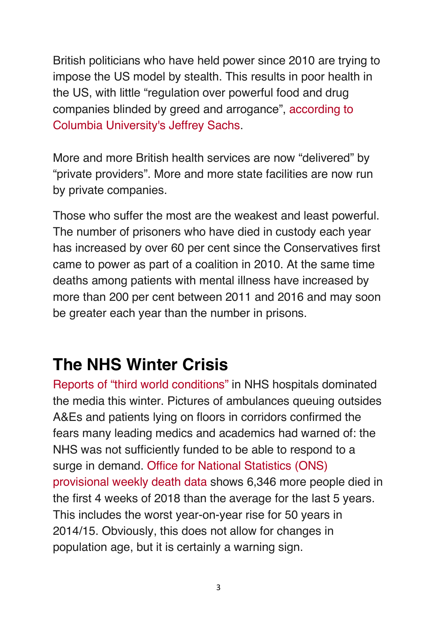British politicians who have held power since 2010 are trying to impose the US model by stealth. This results in poor health in the US, with little "regulation over powerful food and drug companies blinded by greed and arrogance", according to Columbia University's Jeffrey Sachs.

More and more British health services are now "delivered" by "private providers". More and more state facilities are now run by private companies.

Those who suffer the most are the weakest and least powerful. The number of prisoners who have died in custody each year has increased by over 60 per cent since the Conservatives first came to power as part of a coalition in 2010. At the same time deaths among patients with mental illness have increased by more than 200 per cent between 2011 and 2016 and may soon be greater each year than the number in prisons.

## **The NHS Winter Crisis**

Reports of "third world conditions" in NHS hospitals dominated the media this winter. Pictures of ambulances queuing outsides A&Es and patients lying on floors in corridors confirmed the fears many leading medics and academics had warned of: the NHS was not sufficiently funded to be able to respond to a surge in demand. Office for National Statistics (ONS) provisional weekly death data shows 6,346 more people died in the first 4 weeks of 2018 than the average for the last 5 years. This includes the worst year-on-year rise for 50 years in 2014/15. Obviously, this does not allow for changes in population age, but it is certainly a warning sign.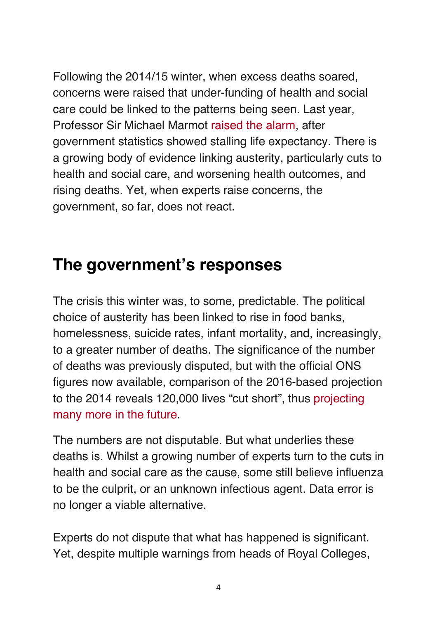Following the 2014/15 winter, when excess deaths soared, concerns were raised that under-funding of health and social care could be linked to the patterns being seen. Last year, Professor Sir Michael Marmot raised the alarm, after government statistics showed stalling life expectancy. There is a growing body of evidence linking austerity, particularly cuts to health and social care, and worsening health outcomes, and rising deaths. Yet, when experts raise concerns, the government, so far, does not react.

## **The government's responses**

The crisis this winter was, to some, predictable. The political choice of austerity has been linked to rise in food banks, homelessness, suicide rates, infant mortality, and, increasingly, to a greater number of deaths. The significance of the number of deaths was previously disputed, but with the official ONS figures now available, comparison of the 2016-based projection to the 2014 reveals 120,000 lives "cut short", thus projecting many more in the future.

The numbers are not disputable. But what underlies these deaths is. Whilst a growing number of experts turn to the cuts in health and social care as the cause, some still believe influenza to be the culprit, or an unknown infectious agent. Data error is no longer a viable alternative.

Experts do not dispute that what has happened is significant. Yet, despite multiple warnings from heads of Royal Colleges,